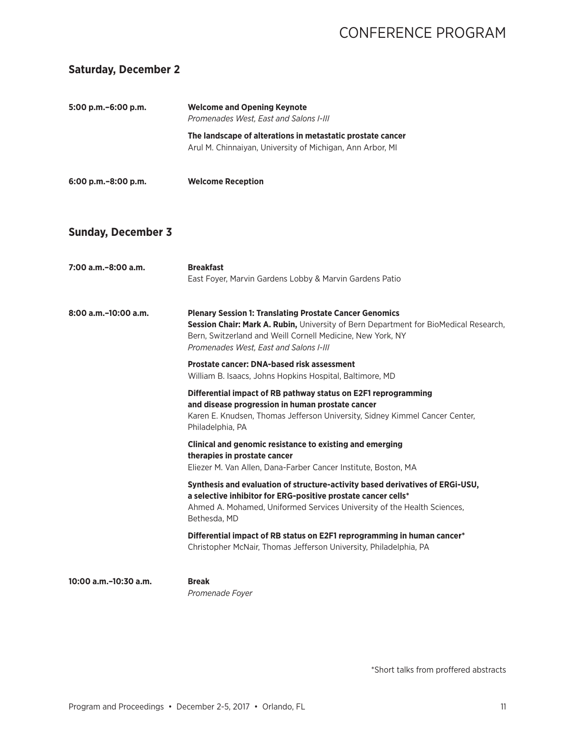#### **Saturday, December 2**

| 5:00 p.m. - 6:00 p.m.     | <b>Welcome and Opening Keynote</b><br>Promenades West, East and Salons I-III                                                                                                                                                                                   |
|---------------------------|----------------------------------------------------------------------------------------------------------------------------------------------------------------------------------------------------------------------------------------------------------------|
|                           | The landscape of alterations in metastatic prostate cancer<br>Arul M. Chinnaiyan, University of Michigan, Ann Arbor, MI                                                                                                                                        |
| 6:00 p.m. - 8:00 p.m.     | <b>Welcome Reception</b>                                                                                                                                                                                                                                       |
| <b>Sunday, December 3</b> |                                                                                                                                                                                                                                                                |
| 7:00 a.m.-8:00 a.m.       | <b>Breakfast</b><br>East Foyer, Marvin Gardens Lobby & Marvin Gardens Patio                                                                                                                                                                                    |
| $8:00$ a.m. $-10:00$ a.m. | <b>Plenary Session 1: Translating Prostate Cancer Genomics</b><br>Session Chair: Mark A. Rubin, University of Bern Department for BioMedical Research,<br>Bern, Switzerland and Weill Cornell Medicine, New York, NY<br>Promenades West, East and Salons I-III |
|                           | <b>Prostate cancer: DNA-based risk assessment</b><br>William B. Isaacs, Johns Hopkins Hospital, Baltimore, MD                                                                                                                                                  |
|                           | Differential impact of RB pathway status on E2F1 reprogramming<br>and disease progression in human prostate cancer<br>Karen E. Knudsen, Thomas Jefferson University, Sidney Kimmel Cancer Center,<br>Philadelphia, PA                                          |
|                           | Clinical and genomic resistance to existing and emerging<br>therapies in prostate cancer<br>Eliezer M. Van Allen, Dana-Farber Cancer Institute, Boston, MA                                                                                                     |
|                           | Synthesis and evaluation of structure-activity based derivatives of ERGi-USU,<br>a selective inhibitor for ERG-positive prostate cancer cells*<br>Ahmed A. Mohamed, Uniformed Services University of the Health Sciences,<br>Bethesda, MD                      |
|                           | Differential impact of RB status on E2F1 reprogramming in human cancer*<br>Christopher McNair, Thomas Jefferson University, Philadelphia, PA                                                                                                                   |
| 10:00 a.m.-10:30 a.m.     | <b>Break</b><br>Promenade Foyer                                                                                                                                                                                                                                |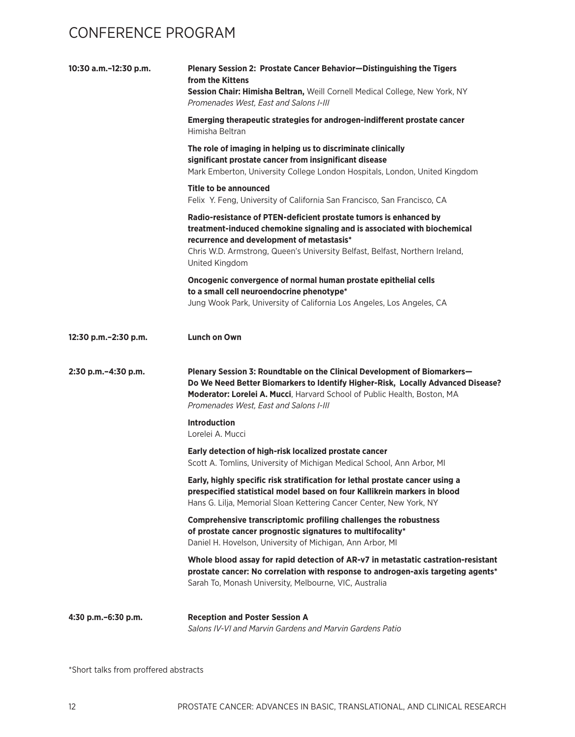| 10:30 a.m.-12:30 p.m. | Plenary Session 2: Prostate Cancer Behavior-Distinguishing the Tigers<br>from the Kittens<br>Session Chair: Himisha Beltran, Weill Cornell Medical College, New York, NY<br>Promenades West, East and Salons I-III                                                                           |
|-----------------------|----------------------------------------------------------------------------------------------------------------------------------------------------------------------------------------------------------------------------------------------------------------------------------------------|
|                       | Emerging therapeutic strategies for androgen-indifferent prostate cancer<br>Himisha Beltran                                                                                                                                                                                                  |
|                       | The role of imaging in helping us to discriminate clinically<br>significant prostate cancer from insignificant disease<br>Mark Emberton, University College London Hospitals, London, United Kingdom                                                                                         |
|                       | Title to be announced<br>Felix Y. Feng, University of California San Francisco, San Francisco, CA                                                                                                                                                                                            |
|                       | Radio-resistance of PTEN-deficient prostate tumors is enhanced by<br>treatment-induced chemokine signaling and is associated with biochemical<br>recurrence and development of metastasis*<br>Chris W.D. Armstrong, Queen's University Belfast, Belfast, Northern Ireland,<br>United Kingdom |
|                       | Oncogenic convergence of normal human prostate epithelial cells<br>to a small cell neuroendocrine phenotype*<br>Jung Wook Park, University of California Los Angeles, Los Angeles, CA                                                                                                        |
| 12:30 p.m.-2:30 p.m.  | <b>Lunch on Own</b>                                                                                                                                                                                                                                                                          |
| 2:30 p.m.-4:30 p.m.   | Plenary Session 3: Roundtable on the Clinical Development of Biomarkers-<br>Do We Need Better Biomarkers to Identify Higher-Risk, Locally Advanced Disease?<br>Moderator: Lorelei A. Mucci, Harvard School of Public Health, Boston, MA<br>Promenades West, East and Salons I-III            |
|                       | <b>Introduction</b><br>Lorelei A. Mucci                                                                                                                                                                                                                                                      |
|                       | Early detection of high-risk localized prostate cancer<br>Scott A. Tomlins, University of Michigan Medical School, Ann Arbor, MI                                                                                                                                                             |
|                       | Early, highly specific risk stratification for lethal prostate cancer using a<br>prespecified statistical model based on four Kallikrein markers in blood<br>Hans G. Lilja, Memorial Sloan Kettering Cancer Center, New York, NY                                                             |
|                       | Comprehensive transcriptomic profiling challenges the robustness<br>of prostate cancer prognostic signatures to multifocality*<br>Daniel H. Hovelson, University of Michigan, Ann Arbor, MI                                                                                                  |
|                       | Whole blood assay for rapid detection of AR-v7 in metastatic castration-resistant<br>prostate cancer: No correlation with response to androgen-axis targeting agents*<br>Sarah To, Monash University, Melbourne, VIC, Australia                                                              |
| 4:30 p.m. - 6:30 p.m. | <b>Reception and Poster Session A</b><br>Salons IV-VI and Marvin Gardens and Marvin Gardens Patio                                                                                                                                                                                            |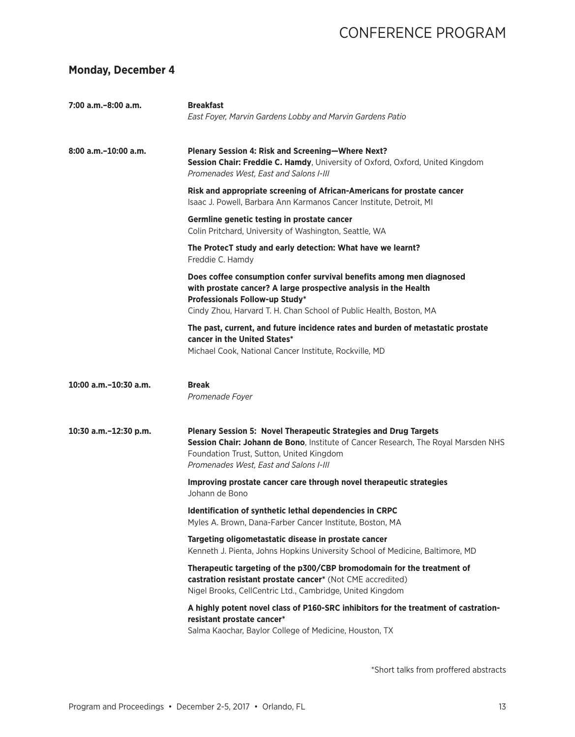#### **Monday, December 4**

| 7:00 a.m.-8:00 a.m.       | <b>Breakfast</b><br>East Foyer, Marvin Gardens Lobby and Marvin Gardens Patio                                                                                                                                                                       |
|---------------------------|-----------------------------------------------------------------------------------------------------------------------------------------------------------------------------------------------------------------------------------------------------|
| $8:00$ a.m. $-10:00$ a.m. | Plenary Session 4: Risk and Screening-Where Next?<br>Session Chair: Freddie C. Hamdy, University of Oxford, Oxford, United Kingdom<br>Promenades West, East and Salons I-III                                                                        |
|                           | Risk and appropriate screening of African-Americans for prostate cancer<br>Isaac J. Powell, Barbara Ann Karmanos Cancer Institute, Detroit, MI                                                                                                      |
|                           | Germline genetic testing in prostate cancer<br>Colin Pritchard, University of Washington, Seattle, WA                                                                                                                                               |
|                           | The ProtecT study and early detection: What have we learnt?<br>Freddie C. Hamdy                                                                                                                                                                     |
|                           | Does coffee consumption confer survival benefits among men diagnosed<br>with prostate cancer? A large prospective analysis in the Health<br>Professionals Follow-up Study*<br>Cindy Zhou, Harvard T. H. Chan School of Public Health, Boston, MA    |
|                           | The past, current, and future incidence rates and burden of metastatic prostate<br>cancer in the United States*<br>Michael Cook, National Cancer Institute, Rockville, MD                                                                           |
| 10:00 a.m.-10:30 a.m.     | <b>Break</b><br>Promenade Foyer                                                                                                                                                                                                                     |
| 10:30 a.m.-12:30 p.m.     | <b>Plenary Session 5: Novel Therapeutic Strategies and Drug Targets</b><br>Session Chair: Johann de Bono, Institute of Cancer Research, The Royal Marsden NHS<br>Foundation Trust, Sutton, United Kingdom<br>Promenades West, East and Salons I-III |
|                           | Improving prostate cancer care through novel therapeutic strategies<br>Johann de Bono                                                                                                                                                               |
|                           | Identification of synthetic lethal dependencies in CRPC<br>Myles A. Brown, Dana-Farber Cancer Institute, Boston, MA                                                                                                                                 |
|                           | Targeting oligometastatic disease in prostate cancer<br>Kenneth J. Pienta, Johns Hopkins University School of Medicine, Baltimore, MD                                                                                                               |
|                           | Therapeutic targeting of the p300/CBP bromodomain for the treatment of<br>castration resistant prostate cancer* (Not CME accredited)<br>Nigel Brooks, CellCentric Ltd., Cambridge, United Kingdom                                                   |
|                           | A highly potent novel class of P160-SRC inhibitors for the treatment of castration-<br>resistant prostate cancer*<br>Salma Kaochar, Baylor College of Medicine, Houston, TX                                                                         |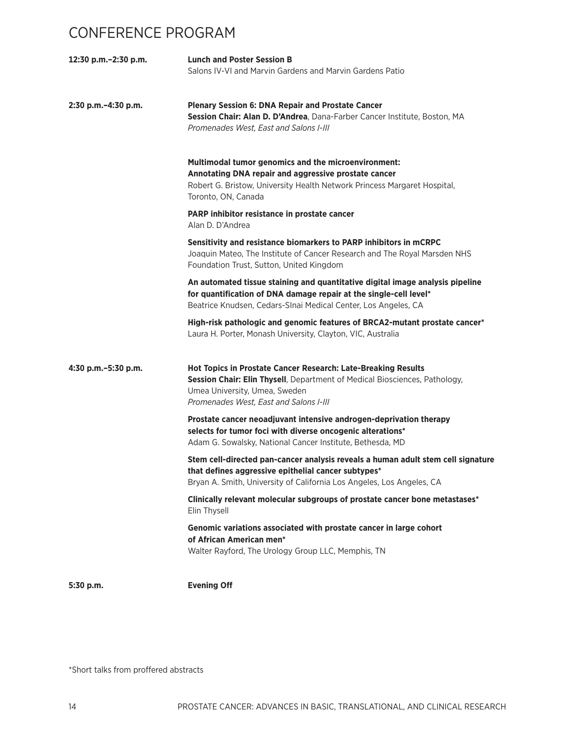| 12:30 p.m.-2:30 p.m.     | <b>Lunch and Poster Session B</b><br>Salons IV-VI and Marvin Gardens and Marvin Gardens Patio                                                                                                                          |
|--------------------------|------------------------------------------------------------------------------------------------------------------------------------------------------------------------------------------------------------------------|
| $2:30$ p.m. $-4:30$ p.m. | <b>Plenary Session 6: DNA Repair and Prostate Cancer</b><br>Session Chair: Alan D. D'Andrea, Dana-Farber Cancer Institute, Boston, MA<br>Promenades West, East and Salons I-III                                        |
|                          | <b>Multimodal tumor genomics and the microenvironment:</b><br>Annotating DNA repair and aggressive prostate cancer<br>Robert G. Bristow, University Health Network Princess Margaret Hospital,<br>Toronto, ON, Canada  |
|                          | PARP inhibitor resistance in prostate cancer<br>Alan D. D'Andrea                                                                                                                                                       |
|                          | Sensitivity and resistance biomarkers to PARP inhibitors in mCRPC<br>Joaquin Mateo, The Institute of Cancer Research and The Royal Marsden NHS<br>Foundation Trust, Sutton, United Kingdom                             |
|                          | An automated tissue staining and quantitative digital image analysis pipeline<br>for quantification of DNA damage repair at the single-cell level*<br>Beatrice Knudsen, Cedars-SInai Medical Center, Los Angeles, CA   |
|                          | High-risk pathologic and genomic features of BRCA2-mutant prostate cancer*<br>Laura H. Porter, Monash University, Clayton, VIC, Australia                                                                              |
| 4:30 p.m. - 5:30 p.m.    | Hot Topics in Prostate Cancer Research: Late-Breaking Results<br>Session Chair: Elin Thysell, Department of Medical Biosciences, Pathology,<br>Umea University, Umea, Sweden<br>Promenades West, East and Salons I-III |
|                          | Prostate cancer neoadjuvant intensive androgen-deprivation therapy<br>selects for tumor foci with diverse oncogenic alterations*<br>Adam G. Sowalsky, National Cancer Institute, Bethesda, MD                          |
|                          | Stem cell-directed pan-cancer analysis reveals a human adult stem cell signature<br>that defines aggressive epithelial cancer subtypes*<br>Bryan A. Smith, University of California Los Angeles, Los Angeles, CA       |
|                          | Clinically relevant molecular subgroups of prostate cancer bone metastases*<br>Elin Thysell                                                                                                                            |
|                          | Genomic variations associated with prostate cancer in large cohort<br>of African American men*<br>Walter Rayford, The Urology Group LLC, Memphis, TN                                                                   |
| $5:30$ p.m.              | <b>Evening Off</b>                                                                                                                                                                                                     |